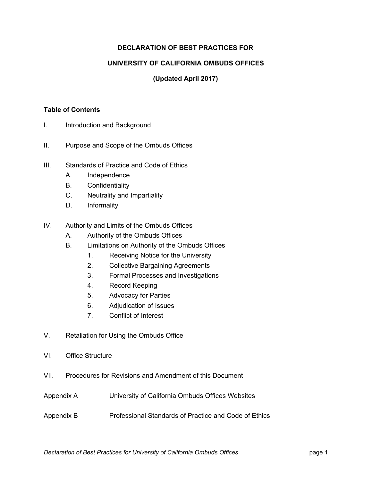# **DECLARATION OF BEST PRACTICES FOR**

#### **UNIVERSITY OF CALIFORNIA OMBUDS OFFICES**

# **(Updated April 2017)**

#### **Table of Contents**

- I. Introduction and Background
- II. Purpose and Scope of the Ombuds Offices
- III. Standards of Practice and Code of Ethics
	- A. Independence
	- B. Confidentiality
	- C. Neutrality and Impartiality
	- D. Informality
- IV. Authority and Limits of the Ombuds Offices
	- A. Authority of the Ombuds Offices
	- B. Limitations on Authority of the Ombuds Offices
		- 1. Receiving Notice for the University
		- 2. Collective Bargaining Agreements
		- 3. Formal Processes and Investigations
		- 4. Record Keeping
		- 5. Advocacy for Parties
		- 6. Adjudication of Issues
		- 7. Conflict of Interest
- V. Retaliation for Using the Ombuds Office
- VI. Office Structure
- VII. Procedures for Revisions and Amendment of this Document
- Appendix A University of California Ombuds Offices Websites
- Appendix B Professional Standards of Practice and Code of Ethics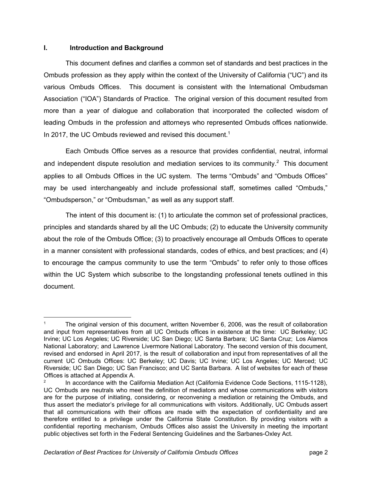#### $\mathbf{L}$ **I. Introduction and Background**

 This document defines and clarifies a common set of standards and best practices in the Ombuds profession as they apply within the context of the University of California ("UC") and its various Ombuds Offices. This document is consistent with the International Ombudsman Association ("IOA") Standards of Practice. The original version of this document resulted from more than a year of dialogue and collaboration that incorporated the collected wisdom of leading Ombuds in the profession and attorneys who represented Ombuds offices nationwide. In 2017, the UC Ombuds reviewed and revised this document.<sup>1</sup>

 Each Ombuds Office serves as a resource that provides confidential, neutral, informal and independent dispute resolution and mediation services to its community.<sup>2</sup> This document applies to all Ombuds Offices in the UC system. The terms "Ombuds" and "Ombuds Offices" may be used interchangeably and include professional staff, sometimes called "Ombuds," "Ombudsperson," or "Ombudsman," as well as any support staff.

 The intent of this document is: (1) to articulate the common set of professional practices, principles and standards shared by all the UC Ombuds; (2) to educate the University community about the role of the Ombuds Office; (3) to proactively encourage all Ombuds Offices to operate in a manner consistent with professional standards, codes of ethics, and best practices; and (4) to encourage the campus community to use the term "Ombuds" to refer only to those offices within the UC System which subscribe to the longstanding professional tenets outlined in this document.

 and input from representatives from all UC Ombuds offices in existence at the time: UC Berkeley; UC Irvine; UC Los Angeles; UC Riverside; UC San Diego; UC Santa Barbara; UC Santa Cruz; Los Alamos National Laboratory; and Lawrence Livermore National Laboratory. The second version of this document, revised and endorsed in April 2017, is the result of collaboration and input from representatives of all the current UC Ombuds Offices: UC Berkeley; UC Davis; UC Irvine; UC Los Angeles; UC Merced; UC Riverside; UC San Diego; UC San Francisco; and UC Santa Barbara. A list of websites for each of these Offices is attached at Appendix A. <sup>1</sup> The original version of this document, written November 6, 2006, was the result of collaboration

 UC Ombuds are neutrals who meet the definition of mediators and whose communications with visitors are for the purpose of initiating, considering, or reconvening a mediation or retaining the Ombuds, and thus assert the mediator's privilege for all communications with visitors. Additionally, UC Ombuds assert that all communications with their offices are made with the expectation of confidentiality and are therefore entitled to a privilege under the California State Constitution. By providing visitors with a confidential reporting mechanism, Ombuds Offices also assist the University in meeting the important public objectives set forth in the Federal Sentencing Guidelines and the Sarbanes-Oxley Act. <sup>2</sup> In accordance with the California Mediation Act (California Evidence Code Sections, 1115-1128),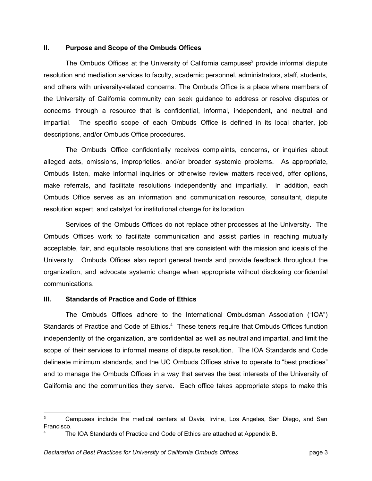#### **II. Purpose and Scope of the Ombuds Offices**

The Ombuds Offices at the University of California campuses<sup>3</sup> provide informal dispute resolution and mediation services to faculty, academic personnel, administrators, staff, students, and others with university-related concerns. The Ombuds Office is a place where members of the University of California community can seek guidance to address or resolve disputes or concerns through a resource that is confidential, informal, independent, and neutral and impartial. The specific scope of each Ombuds Office is defined in its local charter, job descriptions, and/or Ombuds Office procedures.

 The Ombuds Office confidentially receives complaints, concerns, or inquiries about alleged acts, omissions, improprieties, and/or broader systemic problems. As appropriate, Ombuds listen, make informal inquiries or otherwise review matters received, offer options, make referrals, and facilitate resolutions independently and impartially. In addition, each Ombuds Office serves as an information and communication resource, consultant, dispute resolution expert, and catalyst for institutional change for its location.

 Services of the Ombuds Offices do not replace other processes at the University. The Ombuds Offices work to facilitate communication and assist parties in reaching mutually acceptable, fair, and equitable resolutions that are consistent with the mission and ideals of the University. Ombuds Offices also report general trends and provide feedback throughout the organization, and advocate systemic change when appropriate without disclosing confidential communications.

#### **III. Standards of Practice and Code of Ethics**

 The Ombuds Offices adhere to the International Ombudsman Association ("IOA") Standards of Practice and Code of Ethics.<sup>4</sup> These tenets require that Ombuds Offices function independently of the organization, are confidential as well as neutral and impartial, and limit the scope of their services to informal means of dispute resolution. The IOA Standards and Code delineate minimum standards, and the UC Ombuds Offices strive to operate to "best practices" and to manage the Ombuds Offices in a way that serves the best interests of the University of California and the communities they serve. Each office takes appropriate steps to make this

 $3$  Campuses include the medical centers at Davis, Irvine, Los Angeles, San Diego, and San Francisco.

The IOA Standards of Practice and Code of Ethics are attached at Appendix B.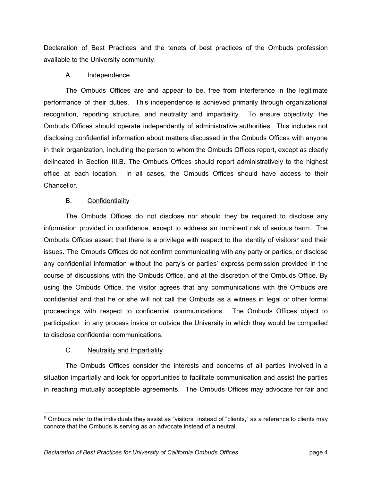Declaration of Best Practices and the tenets of best practices of the Ombuds profession available to the University community.

## A. Independence

 The Ombuds Offices are and appear to be, free from interference in the legitimate performance of their duties. This independence is achieved primarily through organizational recognition, reporting structure, and neutrality and impartiality. To ensure objectivity, the Ombuds Offices should operate independently of administrative authorities. This includes not disclosing confidential information about matters discussed in the Ombuds Offices with anyone in their organization, including the person to whom the Ombuds Offices report, except as clearly delineated in Section III.B. The Ombuds Offices should report administratively to the highest office at each location. In all cases, the Ombuds Offices should have access to their Chancellor.

## B. Confidentiality

 The Ombuds Offices do not disclose nor should they be required to disclose any information provided in confidence, except to address an imminent risk of serious harm. The Ombuds Offices assert that there is a privilege with respect to the identity of visitors<sup>5</sup> and their issues. The Ombuds Offices do not confirm communicating with any party or parties, or disclose any confidential information without the party's or parties' express permission provided in the course of discussions with the Ombuds Office, and at the discretion of the Ombuds Office. By using the Ombuds Office, the visitor agrees that any communications with the Ombuds are confidential and that he or she will not call the Ombuds as a witness in legal or other formal proceedings with respect to confidential communications. The Ombuds Offices object to participation in any process inside or outside the University in which they would be compelled to disclose confidential communications.

# C. Neutrality and Impartiality

 The Ombuds Offices consider the interests and concerns of all parties involved in a situation impartially and look for opportunities to facilitate communication and assist the parties in reaching mutually acceptable agreements. The Ombuds Offices may advocate for fair and

 $^5$  Ombuds refer to the individuals they assist as "visitors" instead of "clients," as a reference to clients may connote that the Ombuds is serving as an advocate instead of a neutral.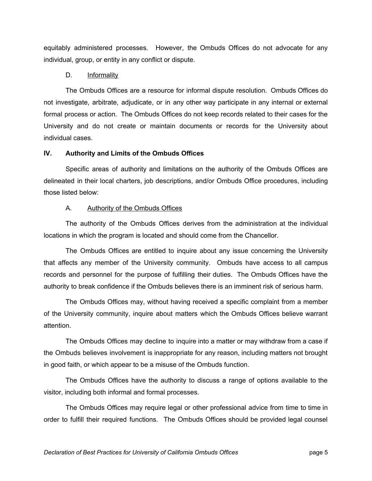equitably administered processes. However, the Ombuds Offices do not advocate for any individual, group, or entity in any conflict or dispute.

#### D. Informality

 The Ombuds Offices are a resource for informal dispute resolution. Ombuds Offices do not investigate, arbitrate, adjudicate, or in any other way participate in any internal or external formal process or action. The Ombuds Offices do not keep records related to their cases for the University and do not create or maintain documents or records for the University about individual cases.

## **IV. Authority and Limits of the Ombuds Offices**

 Specific areas of authority and limitations on the authority of the Ombuds Offices are delineated in their local charters, job descriptions, and/or Ombuds Office procedures, including those listed below:

# A. Authority of the Ombuds Offices

 The authority of the Ombuds Offices derives from the administration at the individual locations in which the program is located and should come from the Chancellor.

 The Ombuds Offices are entitled to inquire about any issue concerning the University that affects any member of the University community. Ombuds have access to all campus records and personnel for the purpose of fulfilling their duties. The Ombuds Offices have the authority to break confidence if the Ombuds believes there is an imminent risk of serious harm.

 The Ombuds Offices may, without having received a specific complaint from a member of the University community, inquire about matters which the Ombuds Offices believe warrant attention.

 The Ombuds Offices may decline to inquire into a matter or may withdraw from a case if the Ombuds believes involvement is inappropriate for any reason, including matters not brought in good faith, or which appear to be a misuse of the Ombuds function.

 The Ombuds Offices have the authority to discuss a range of options available to the visitor, including both informal and formal processes.

 The Ombuds Offices may require legal or other professional advice from time to time in order to fulfill their required functions. The Ombuds Offices should be provided legal counsel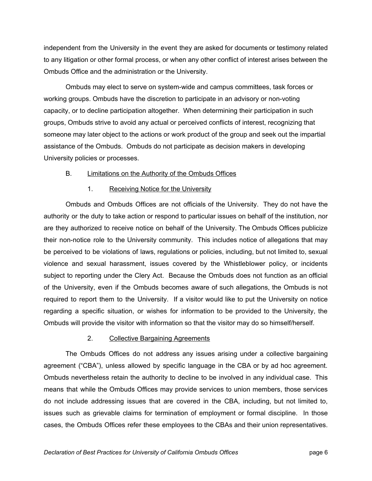independent from the University in the event they are asked for documents or testimony related to any litigation or other formal process, or when any other conflict of interest arises between the Ombuds Office and the administration or the University.

 Ombuds may elect to serve on system-wide and campus committees, task forces or working groups. Ombuds have the discretion to participate in an advisory or non-voting capacity, or to decline participation altogether. When determining their participation in such groups, Ombuds strive to avoid any actual or perceived conflicts of interest, recognizing that someone may later object to the actions or work product of the group and seek out the impartial assistance of the Ombuds. Ombuds do not participate as decision makers in developing University policies or processes.

#### B. Limitations on the Authority of the Ombuds Offices

## 1. Receiving Notice for the University

 Ombuds and Ombuds Offices are not officials of the University. They do not have the authority or the duty to take action or respond to particular issues on behalf of the institution, nor are they authorized to receive notice on behalf of the University. The Ombuds Offices publicize their non-notice role to the University community. This includes notice of allegations that may be perceived to be violations of laws, regulations or policies, including, but not limited to, sexual violence and sexual harassment, issues covered by the Whistleblower policy, or incidents subject to reporting under the Clery Act. Because the Ombuds does not function as an official of the University, even if the Ombuds becomes aware of such allegations, the Ombuds is not required to report them to the University. If a visitor would like to put the University on notice regarding a specific situation, or wishes for information to be provided to the University, the Ombuds will provide the visitor with information so that the visitor may do so himself/herself.

# 2. Collective Bargaining Agreements

 The Ombuds Offices do not address any issues arising under a collective bargaining agreement ("CBA"), unless allowed by specific language in the CBA or by ad hoc agreement. Ombuds nevertheless retain the authority to decline to be involved in any individual case. This means that while the Ombuds Offices may provide services to union members, those services do not include addressing issues that are covered in the CBA, including, but not limited to, issues such as grievable claims for termination of employment or formal discipline. In those cases, the Ombuds Offices refer these employees to the CBAs and their union representatives.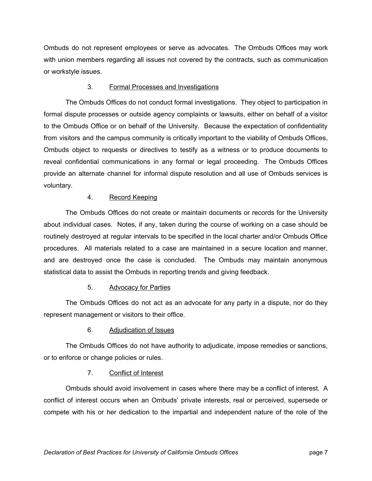Ombuds do not represent employees or serve as advocates. The Ombuds Offices may work with union members regarding all issues not covered by the contracts, such as communication or workstyle issues.

# 3. Formal Processes and Investigations

 The Ombuds Offices do not conduct formal investigations. They object to participation in formal dispute processes or outside agency complaints or lawsuits, either on behalf of a visitor to the Ombuds Office or on behalf of the University. Because the expectation of confidentiality from visitors and the campus community is critically important to the viability of Ombuds Offices, Ombuds object to requests or directives to testify as a witness or to produce documents to reveal confidential communications in any formal or legal proceeding. The Ombuds Offices provide an alternate channel for informal dispute resolution and all use of Ombuds services is voluntary.

# 4. Record Keeping

 The Ombuds Offices do not create or maintain documents or records for the University about individual cases. Notes, if any, taken during the course of working on a case should be routinely destroyed at regular intervals to be specified in the local charter and/or Ombuds Office procedures. All materials related to a case are maintained in a secure location and manner, and are destroyed once the case is concluded. The Ombuds may maintain anonymous statistical data to assist the Ombuds in reporting trends and giving feedback.

# 5. Advocacy for Parties

 The Ombuds Offices do not act as an advocate for any party in a dispute, nor do they represent management or visitors to their office.

# 6. Adjudication of Issues

 The Ombuds Offices do not have authority to adjudicate, impose remedies or sanctions, or to enforce or change policies or rules.

# 7. Conflict of Interest

 Ombuds should avoid involvement in cases where there may be a conflict of interest. A conflict of interest occurs when an Ombuds' private interests, real or perceived, supersede or compete with his or her dedication to the impartial and independent nature of the role of the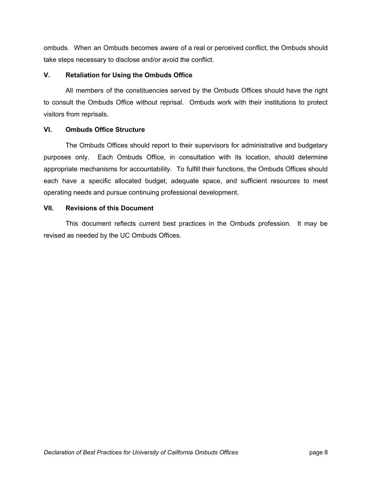ombuds. When an Ombuds becomes aware of a real or perceived conflict, the Ombuds should take steps necessary to disclose and/or avoid the conflict.

#### **V. Retaliation for Using the Ombuds Office**

 All members of the constituencies served by the Ombuds Offices should have the right to consult the Ombuds Office without reprisal. Ombuds work with their institutions to protect visitors from reprisals.

## **VI. Ombuds Office Structure**

 The Ombuds Offices should report to their supervisors for administrative and budgetary purposes only. Each Ombuds Office, in consultation with its location, should determine appropriate mechanisms for accountability. To fulfill their functions, the Ombuds Offices should each have a specific allocated budget, adequate space, and sufficient resources to meet operating needs and pursue continuing professional development.

## **VII. Revisions of this Document**

 This document reflects current best practices in the Ombuds profession. It may be revised as needed by the UC Ombuds Offices.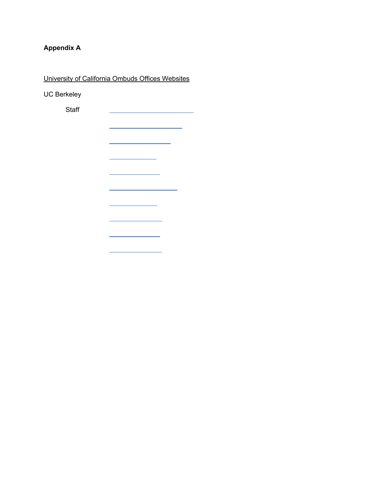# **Appendix A**

University of California Ombuds Offices Websites

UC Berkeley

**Staff**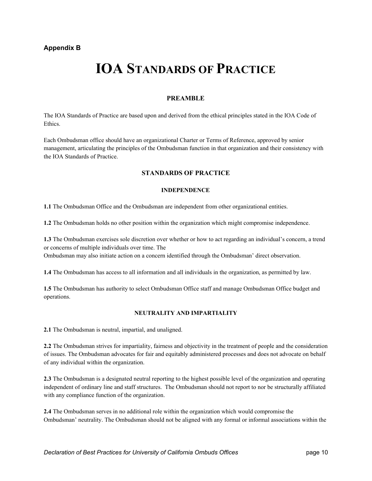# **IOA STANDARDS OF PRACTICE**

#### **PREAMBLE**

The IOA Standards of Practice are based upon and derived from the ethical principles stated in the IOA Code of Ethics.

Each Ombudsman office should have an organizational Charter or Terms of Reference, approved by senior management, articulating the principles of the Ombudsman function in that organization and their consistency with the IOA Standards of Practice.

#### **STANDARDS OF PRACTICE**

#### **INDEPENDENCE**

**1.1** The Ombudsman Office and the Ombudsman are independent from other organizational entities.

**1.2** The Ombudsman holds no other position within the organization which might compromise independence.

**1.3** The Ombudsman exercises sole discretion over whether or how to act regarding an individual's concern, a trend or concerns of multiple individuals over time. The Ombudsman may also initiate action on a concern identified through the Ombudsman' direct observation.

**1.4** The Ombudsman has access to all information and all individuals in the organization, as permitted by law.

**1.5** The Ombudsman has authority to select Ombudsman Office staff and manage Ombudsman Office budget and operations.

#### **NEUTRALITY AND IMPARTIALITY**

**2.1** The Ombudsman is neutral, impartial, and unaligned.

**2.2** The Ombudsman strives for impartiality, fairness and objectivity in the treatment of people and the consideration of issues. The Ombudsman advocates for fair and equitably administered processes and does not advocate on behalf of any individual within the organization.

**2.3** The Ombudsman is a designated neutral reporting to the highest possible level of the organization and operating independent of ordinary line and staff structures. The Ombudsman should not report to nor be structurally affiliated with any compliance function of the organization.

**2.4** The Ombudsman serves in no additional role within the organization which would compromise the Ombudsman' neutrality. The Ombudsman should not be aligned with any formal or informal associations within the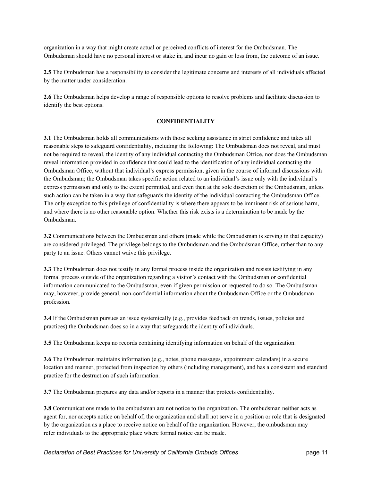organization in a way that might create actual or perceived conflicts of interest for the Ombudsman. The Ombudsman should have no personal interest or stake in, and incur no gain or loss from, the outcome of an issue.

**2.5** The Ombudsman has a responsibility to consider the legitimate concerns and interests of all individuals affected by the matter under consideration.

**2.6** The Ombudsman helps develop a range of responsible options to resolve problems and facilitate discussion to identify the best options.

#### **CONFIDENTIALITY**

**3.1** The Ombudsman holds all communications with those seeking assistance in strict confidence and takes all reasonable steps to safeguard confidentiality, including the following: The Ombudsman does not reveal, and must not be required to reveal, the identity of any individual contacting the Ombudsman Office, nor does the Ombudsman reveal information provided in confidence that could lead to the identification of any individual contacting the Ombudsman Office, without that individual's express permission, given in the course of informal discussions with the Ombudsman; the Ombudsman takes specific action related to an individual's issue only with the individual's express permission and only to the extent permitted, and even then at the sole discretion of the Ombudsman, unless such action can be taken in a way that safeguards the identity of the individual contacting the Ombudsman Office. The only exception to this privilege of confidentiality is where there appears to be imminent risk of serious harm, and where there is no other reasonable option. Whether this risk exists is a determination to be made by the Ombudsman.

**3.2** Communications between the Ombudsman and others (made while the Ombudsman is serving in that capacity) are considered privileged. The privilege belongs to the Ombudsman and the Ombudsman Office, rather than to any party to an issue. Others cannot waive this privilege.

**3.3** The Ombudsman does not testify in any formal process inside the organization and resists testifying in any formal process outside of the organization regarding a visitor's contact with the Ombudsman or confidential information communicated to the Ombudsman, even if given permission or requested to do so. The Ombudsman may, however, provide general, non-confidential information about the Ombudsman Office or the Ombudsman profession.

**3.4** If the Ombudsman pursues an issue systemically (e.g., provides feedback on trends, issues, policies and practices) the Ombudsman does so in a way that safeguards the identity of individuals.

**3.5** The Ombudsman keeps no records containing identifying information on behalf of the organization.

**3.6** The Ombudsman maintains information (e.g., notes, phone messages, appointment calendars) in a secure location and manner, protected from inspection by others (including management), and has a consistent and standard practice for the destruction of such information.

**3.7** The Ombudsman prepares any data and/or reports in a manner that protects confidentiality.

**3.8** Communications made to the ombudsman are not notice to the organization. The ombudsman neither acts as agent for, nor accepts notice on behalf of, the organization and shall not serve in a position or role that is designated by the organization as a place to receive notice on behalf of the organization. However, the ombudsman may refer individuals to the appropriate place where formal notice can be made.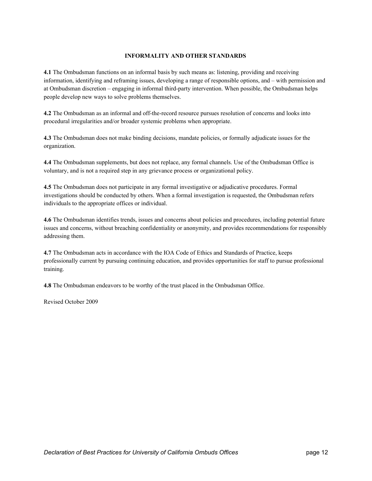#### **INFORMALITY AND OTHER STANDARDS**

**4.1** The Ombudsman functions on an informal basis by such means as: listening, providing and receiving information, identifying and reframing issues, developing a range of responsible options, and – with permission and at Ombudsman discretion – engaging in informal third-party intervention. When possible, the Ombudsman helps people develop new ways to solve problems themselves.

**4.2** The Ombudsman as an informal and off-the-record resource pursues resolution of concerns and looks into procedural irregularities and/or broader systemic problems when appropriate.

**4.3** The Ombudsman does not make binding decisions, mandate policies, or formally adjudicate issues for the organization.

**4.4** The Ombudsman supplements, but does not replace, any formal channels. Use of the Ombudsman Office is voluntary, and is not a required step in any grievance process or organizational policy.

**4.5** The Ombudsman does not participate in any formal investigative or adjudicative procedures. Formal investigations should be conducted by others. When a formal investigation is requested, the Ombudsman refers individuals to the appropriate offices or individual.

**4.6** The Ombudsman identifies trends, issues and concerns about policies and procedures, including potential future issues and concerns, without breaching confidentiality or anonymity, and provides recommendations for responsibly addressing them.

**4.7** The Ombudsman acts in accordance with the IOA Code of Ethics and Standards of Practice, keeps professionally current by pursuing continuing education, and provides opportunities for staff to pursue professional training.

**4.8** The Ombudsman endeavors to be worthy of the trust placed in the Ombudsman Office.

Revised October 2009